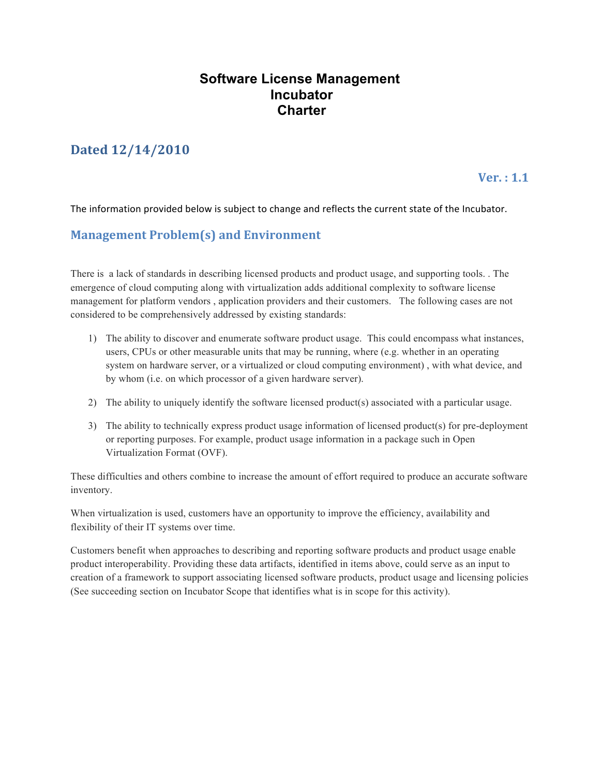## **Software License Management Incubator Charter**

# **Dated 12/14/2010**

### $Ver. : 1.1$

The information provided below is subject to change and reflects the current state of the Incubator.

## **Management Problem(s) and Environment**

There is a lack of standards in describing licensed products and product usage, and supporting tools. . The emergence of cloud computing along with virtualization adds additional complexity to software license management for platform vendors , application providers and their customers. The following cases are not considered to be comprehensively addressed by existing standards:

- 1) The ability to discover and enumerate software product usage. This could encompass what instances, users, CPUs or other measurable units that may be running, where (e.g. whether in an operating system on hardware server, or a virtualized or cloud computing environment) , with what device, and by whom (i.e. on which processor of a given hardware server).
- 2) The ability to uniquely identify the software licensed product(s) associated with a particular usage.
- 3) The ability to technically express product usage information of licensed product(s) for pre-deployment or reporting purposes. For example, product usage information in a package such in Open Virtualization Format (OVF).

These difficulties and others combine to increase the amount of effort required to produce an accurate software inventory.

When virtualization is used, customers have an opportunity to improve the efficiency, availability and flexibility of their IT systems over time.

Customers benefit when approaches to describing and reporting software products and product usage enable product interoperability. Providing these data artifacts, identified in items above, could serve as an input to creation of a framework to support associating licensed software products, product usage and licensing policies (See succeeding section on Incubator Scope that identifies what is in scope for this activity).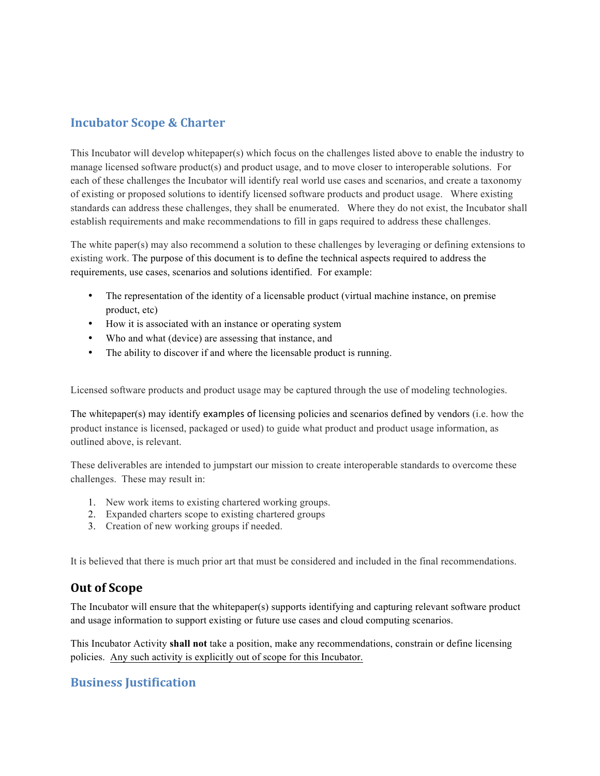## **Incubator Scope & Charter**

This Incubator will develop whitepaper(s) which focus on the challenges listed above to enable the industry to manage licensed software product(s) and product usage, and to move closer to interoperable solutions. For each of these challenges the Incubator will identify real world use cases and scenarios, and create a taxonomy of existing or proposed solutions to identify licensed software products and product usage. Where existing standards can address these challenges, they shall be enumerated. Where they do not exist, the Incubator shall establish requirements and make recommendations to fill in gaps required to address these challenges.

The white paper(s) may also recommend a solution to these challenges by leveraging or defining extensions to existing work. The purpose of this document is to define the technical aspects required to address the requirements, use cases, scenarios and solutions identified. For example:

- The representation of the identity of a licensable product (virtual machine instance, on premise product, etc)
- How it is associated with an instance or operating system
- Who and what (device) are assessing that instance, and
- The ability to discover if and where the licensable product is running.

Licensed software products and product usage may be captured through the use of modeling technologies.

The whitepaper(s) may identify examples of licensing policies and scenarios defined by vendors (i.e. how the product instance is licensed, packaged or used) to guide what product and product usage information, as outlined above, is relevant.

These deliverables are intended to jumpstart our mission to create interoperable standards to overcome these challenges. These may result in:

- 1. New work items to existing chartered working groups.
- 2. Expanded charters scope to existing chartered groups
- 3. Creation of new working groups if needed.

It is believed that there is much prior art that must be considered and included in the final recommendations.

## **Out of Scope**

The Incubator will ensure that the whitepaper(s) supports identifying and capturing relevant software product and usage information to support existing or future use cases and cloud computing scenarios.

This Incubator Activity **shall not** take a position, make any recommendations, constrain or define licensing policies. Any such activity is explicitly out of scope for this Incubator.

### **Business Justification**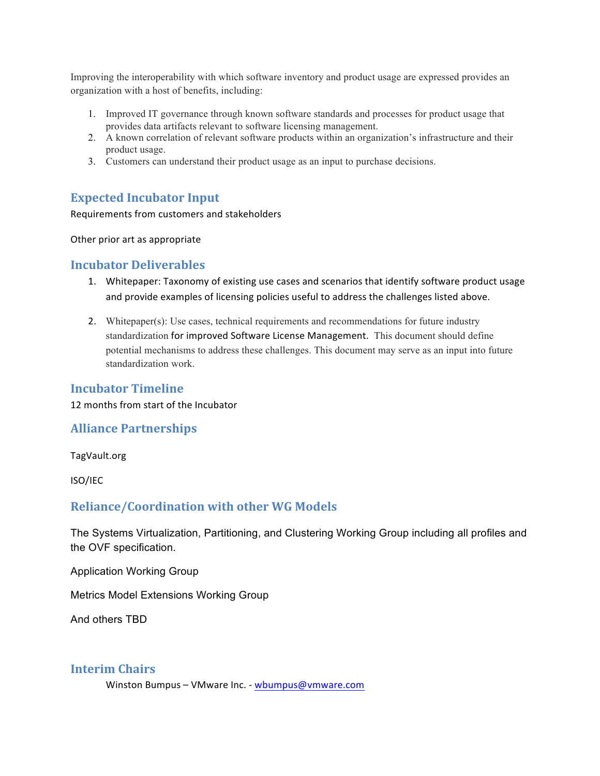Improving the interoperability with which software inventory and product usage are expressed provides an organization with a host of benefits, including:

- 1. Improved IT governance through known software standards and processes for product usage that provides data artifacts relevant to software licensing management.
- 2. A known correlation of relevant software products within an organization's infrastructure and their product usage.
- 3. Customers can understand their product usage as an input to purchase decisions.

## **Expected Incubator Input**

Requirements from customers and stakeholders

Other prior art as appropriate

### **Incubator Deliverables**

- 1. Whitepaper: Taxonomy of existing use cases and scenarios that identify software product usage and provide examples of licensing policies useful to address the challenges listed above.
- 2. Whitepaper(s): Use cases, technical requirements and recommendations for future industry standardization for improved Software License Management. This document should define potential mechanisms to address these challenges. This document may serve as an input into future standardization work.

#### **Incubator Timeline**

12 months from start of the Incubator

#### **Alliance Partnerships**

TagVault.org

ISO/IEC

### **Reliance/Coordination with other WG Models**

The Systems Virtualization, Partitioning, and Clustering Working Group including all profiles and the OVF specification.

**Application Working Group** 

**Metrics Model Extensions Working Group** 

And others TBD

### **Interim Chairs**

Winston Bumpus - VMware Inc. - wbumpus@vmware.com